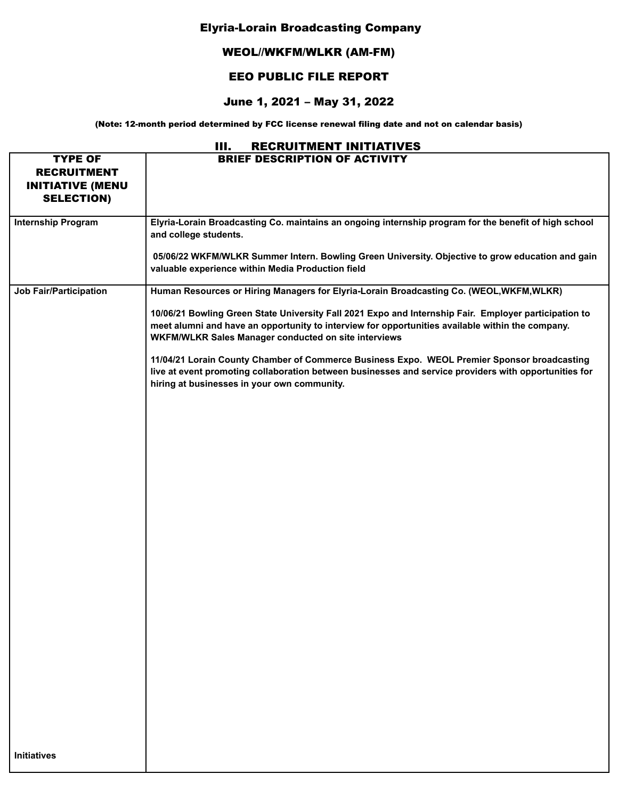## Elyria-Lorain Broadcasting Company

## WEOL//WKFM/WLKR (AM-FM)

## EEO PUBLIC FILE REPORT

## June 1, 2021 – May 31, 2022

(Note: 12-month period determined by FCC license renewal filing date and not on calendar basis)

| Ш.<br><b>RECRUITMENT INITIATIVES</b>                                                 |                                                                                                                                                                                                                                                                                                                                                                                                                                                                                                                                                                                                                    |  |  |
|--------------------------------------------------------------------------------------|--------------------------------------------------------------------------------------------------------------------------------------------------------------------------------------------------------------------------------------------------------------------------------------------------------------------------------------------------------------------------------------------------------------------------------------------------------------------------------------------------------------------------------------------------------------------------------------------------------------------|--|--|
| <b>TYPE OF</b><br><b>RECRUITMENT</b><br><b>INITIATIVE (MENU</b><br><b>SELECTION)</b> | <b>BRIEF DESCRIPTION OF ACTIVITY</b>                                                                                                                                                                                                                                                                                                                                                                                                                                                                                                                                                                               |  |  |
| <b>Internship Program</b>                                                            | Elyria-Lorain Broadcasting Co. maintains an ongoing internship program for the benefit of high school<br>and college students.<br>05/06/22 WKFM/WLKR Summer Intern. Bowling Green University. Objective to grow education and gain<br>valuable experience within Media Production field                                                                                                                                                                                                                                                                                                                            |  |  |
| <b>Job Fair/Participation</b>                                                        | Human Resources or Hiring Managers for Elyria-Lorain Broadcasting Co. (WEOL,WKFM,WLKR)<br>10/06/21 Bowling Green State University Fall 2021 Expo and Internship Fair. Employer participation to<br>meet alumni and have an opportunity to interview for opportunities available within the company.<br>WKFM/WLKR Sales Manager conducted on site interviews<br>11/04/21 Lorain County Chamber of Commerce Business Expo. WEOL Premier Sponsor broadcasting<br>live at event promoting collaboration between businesses and service providers with opportunities for<br>hiring at businesses in your own community. |  |  |
| <b>Initiatives</b>                                                                   |                                                                                                                                                                                                                                                                                                                                                                                                                                                                                                                                                                                                                    |  |  |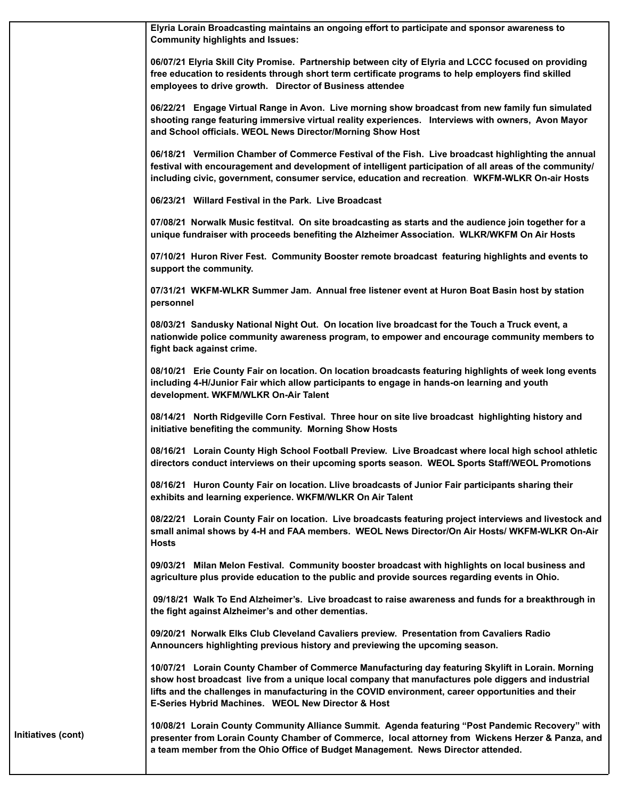**Elyria Lorain Broadcasting maintains an ongoing effort to participate and sponsor awareness to Community highlights and Issues:**

**06/07/21 Elyria Skill City Promise. Partnership between city of Elyria and LCCC focused on providing free education to residents through short term certificate programs to help employers find skilled employees to drive growth. Director of Business attendee**

**06/22/21 Engage Virtual Range in Avon. Live morning show broadcast from new family fun simulated shooting range featuring immersive virtual reality experiences. Interviews with owners, Avon Mayor and School officials. WEOL News Director/Morning Show Host**

**06/18/21 Vermilion Chamber of Commerce Festival of the Fish. Live broadcast highlighting the annual festival with encouragement and development of intelligent participation of all areas of the community/ including civic, government, consumer service, education and recreation**. **WKFM-WLKR On-air Hosts**

**06/23/21 Willard Festival in the Park. Live Broadcast**

**07/08/21 Norwalk Music festitval. On site broadcasting as starts and the audience join together for a unique fundraiser with proceeds benefiting the Alzheimer Association. WLKR/WKFM On Air Hosts**

**07/10/21 Huron River Fest. Community Booster remote broadcast featuring highlights and events to support the community.**

**07/31/21 WKFM-WLKR Summer Jam. Annual free listener event at Huron Boat Basin host by station personnel**

**08/03/21 Sandusky National Night Out. On location live broadcast for the Touch a Truck event, a nationwide police community awareness program, to empower and encourage community members to fight back against crime.**

**08/10/21 Erie County Fair on location. On location broadcasts featuring highlights of week long events including 4-H/Junior Fair which allow participants to engage in hands-on learning and youth development. WKFM/WLKR On-Air Talent**

**08/14/21 North Ridgeville Corn Festival. Three hour on site live broadcast highlighting history and initiative benefiting the community. Morning Show Hosts**

**08/16/21 Lorain County High School Football Preview. Live Broadcast where local high school athletic directors conduct interviews on their upcoming sports season. WEOL Sports Staff/WEOL Promotions**

**08/16/21 Huron County Fair on location. Llive broadcasts of Junior Fair participants sharing their exhibits and learning experience. WKFM/WLKR On Air Talent**

**08/22/21 Lorain County Fair on location. Live broadcasts featuring project interviews and livestock and small animal shows by 4-H and FAA members. WEOL News Director/On Air Hosts/ WKFM-WLKR On-Air Hosts**

**09/03/21 Milan Melon Festival. Community booster broadcast with highlights on local business and agriculture plus provide education to the public and provide sources regarding events in Ohio.**

**09/18/21 Walk To End Alzheimer's. Live broadcast to raise awareness and funds for a breakthrough in the fight against Alzheimer's and other dementias.**

**09/20/21 Norwalk Elks Club Cleveland Cavaliers preview. Presentation from Cavaliers Radio Announcers highlighting previous history and previewing the upcoming season.**

**10/07/21 Lorain County Chamber of Commerce Manufacturing day featuring Skylift in Lorain. Morning show host broadcast live from a unique local company that manufactures pole diggers and industrial lifts and the challenges in manufacturing in the COVID environment, career opportunities and their E-Series Hybrid Machines. WEOL New Director & Host**

**Initiatives (cont)**

**10/08/21 Lorain County Community Alliance Summit. Agenda featuring "Post Pandemic Recovery" with presenter from Lorain County Chamber of Commerce, local attorney from Wickens Herzer & Panza, and a team member from the Ohio Office of Budget Management. News Director attended.**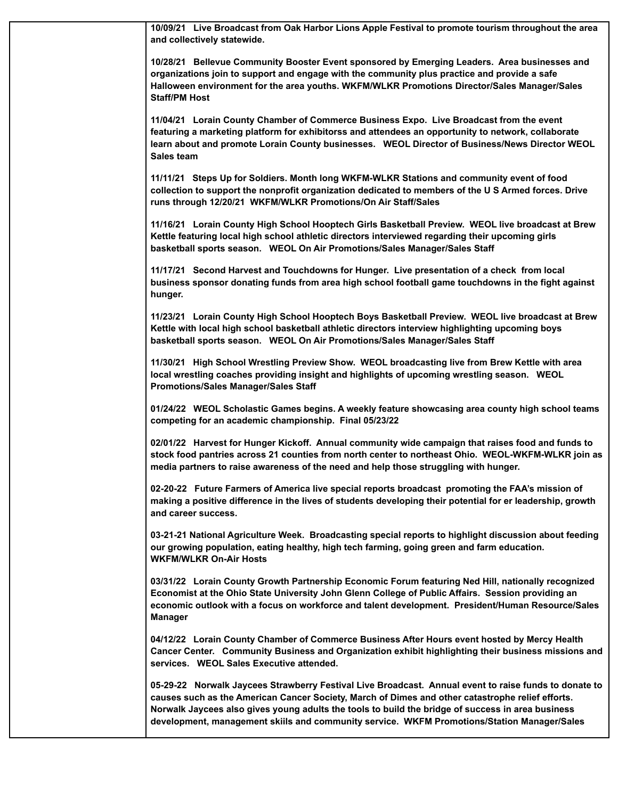**10/09/21 Live Broadcast from Oak Harbor Lions Apple Festival to promote tourism throughout the area and collectively statewide.**

**10/28/21 Bellevue Community Booster Event sponsored by Emerging Leaders. Area businesses and organizations join to support and engage with the community plus practice and provide a safe Halloween environment for the area youths. WKFM/WLKR Promotions Director/Sales Manager/Sales Staff/PM Host**

**11/04/21 Lorain County Chamber of Commerce Business Expo. Live Broadcast from the event featuring a marketing platform for exhibitorss and attendees an opportunity to network, collaborate learn about and promote Lorain County businesses. WEOL Director of Business/News Director WEOL Sales team**

**11/11/21 Steps Up for Soldiers. Month long WKFM-WLKR Stations and community event of food collection to support the nonprofit organization dedicated to members of the U S Armed forces. Drive runs through 12/20/21 WKFM/WLKR Promotions/On Air Staff/Sales**

**11/16/21 Lorain County High School Hooptech Girls Basketball Preview. WEOL live broadcast at Brew Kettle featuring local high school athletic directors interviewed regarding their upcoming girls basketball sports season. WEOL On Air Promotions/Sales Manager/Sales Staff**

**11/17/21 Second Harvest and Touchdowns for Hunger. Live presentation of a check from local business sponsor donating funds from area high school football game touchdowns in the fight against hunger.**

**11/23/21 Lorain County High School Hooptech Boys Basketball Preview. WEOL live broadcast at Brew Kettle with local high school basketball athletic directors interview highlighting upcoming boys basketball sports season. WEOL On Air Promotions/Sales Manager/Sales Staff**

**11/30/21 High School Wrestling Preview Show. WEOL broadcasting live from Brew Kettle with area local wrestling coaches providing insight and highlights of upcoming wrestling season. WEOL Promotions/Sales Manager/Sales Staff**

**01/24/22 WEOL Scholastic Games begins. A weekly feature showcasing area county high school teams competing for an academic championship. Final 05/23/22**

**02/01/22 Harvest for Hunger Kickoff. Annual community wide campaign that raises food and funds to stock food pantries across 21 counties from north center to northeast Ohio. WEOL-WKFM-WLKR join as media partners to raise awareness of the need and help those struggling with hunger.**

**02-20-22 Future Farmers of America live special reports broadcast promoting the FAA's mission of making a positive difference in the lives of students developing their potential for er leadership, growth and career success.**

**03-21-21 National Agriculture Week. Broadcasting special reports to highlight discussion about feeding our growing population, eating healthy, high tech farming, going green and farm education. WKFM/WLKR On-Air Hosts**

**03/31/22 Lorain County Growth Partnership Economic Forum featuring Ned Hill, nationally recognized Economist at the Ohio State University John Glenn College of Public Affairs. Session providing an economic outlook with a focus on workforce and talent development. President/Human Resource/Sales Manager**

**04/12/22 Lorain County Chamber of Commerce Business After Hours event hosted by Mercy Health Cancer Center. Community Business and Organization exhibit highlighting their business missions and services. WEOL Sales Executive attended.**

**05-29-22 Norwalk Jaycees Strawberry Festival Live Broadcast. Annual event to raise funds to donate to causes such as the American Cancer Society, March of Dimes and other catastrophe relief efforts. Norwalk Jaycees also gives young adults the tools to build the bridge of success in area business development, management skiils and community service. WKFM Promotions/Station Manager/Sales**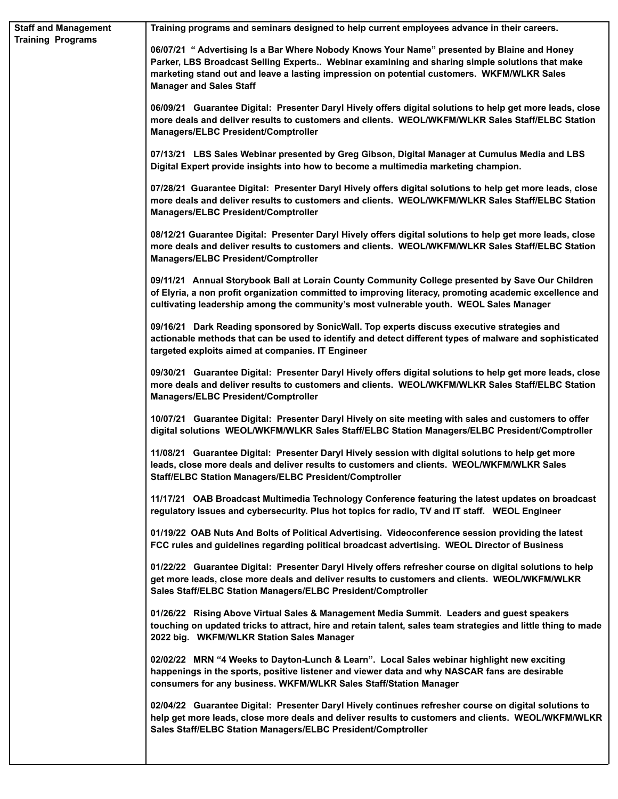| <b>Staff and Management</b><br><b>Training Programs</b> | Training programs and seminars designed to help current employees advance in their careers.                                                                                                                                                                                                                                   |
|---------------------------------------------------------|-------------------------------------------------------------------------------------------------------------------------------------------------------------------------------------------------------------------------------------------------------------------------------------------------------------------------------|
|                                                         | 06/07/21 " Advertising Is a Bar Where Nobody Knows Your Name" presented by Blaine and Honey<br>Parker, LBS Broadcast Selling Experts Webinar examining and sharing simple solutions that make<br>marketing stand out and leave a lasting impression on potential customers. WKFM/WLKR Sales<br><b>Manager and Sales Staff</b> |
|                                                         | 06/09/21 Guarantee Digital: Presenter Daryl Hively offers digital solutions to help get more leads, close<br>more deals and deliver results to customers and clients. WEOL/WKFM/WLKR Sales Staff/ELBC Station<br><b>Managers/ELBC President/Comptroller</b>                                                                   |
|                                                         | 07/13/21 LBS Sales Webinar presented by Greg Gibson, Digital Manager at Cumulus Media and LBS<br>Digital Expert provide insights into how to become a multimedia marketing champion.                                                                                                                                          |
|                                                         | 07/28/21 Guarantee Digital: Presenter Daryl Hively offers digital solutions to help get more leads, close<br>more deals and deliver results to customers and clients. WEOL/WKFM/WLKR Sales Staff/ELBC Station<br>Managers/ELBC President/Comptroller                                                                          |
|                                                         | 08/12/21 Guarantee Digital: Presenter Daryl Hively offers digital solutions to help get more leads, close<br>more deals and deliver results to customers and clients. WEOL/WKFM/WLKR Sales Staff/ELBC Station<br>Managers/ELBC President/Comptroller                                                                          |
|                                                         | 09/11/21 Annual Storybook Ball at Lorain County Community College presented by Save Our Children<br>of Elyria, a non profit organization committed to improving literacy, promoting academic excellence and<br>cultivating leadership among the community's most vulnerable youth. WEOL Sales Manager                         |
|                                                         | 09/16/21 Dark Reading sponsored by SonicWall. Top experts discuss executive strategies and<br>actionable methods that can be used to identify and detect different types of malware and sophisticated<br>targeted exploits aimed at companies. IT Engineer                                                                    |
|                                                         | 09/30/21 Guarantee Digital: Presenter Daryl Hively offers digital solutions to help get more leads, close<br>more deals and deliver results to customers and clients. WEOL/WKFM/WLKR Sales Staff/ELBC Station<br>Managers/ELBC President/Comptroller                                                                          |
|                                                         | 10/07/21 Guarantee Digital: Presenter Daryl Hively on site meeting with sales and customers to offer<br>digital solutions WEOL/WKFM/WLKR Sales Staff/ELBC Station Managers/ELBC President/Comptroller                                                                                                                         |
|                                                         | 11/08/21 Guarantee Digital: Presenter Daryl Hively session with digital solutions to help get more<br>leads, close more deals and deliver results to customers and clients. WEOL/WKFM/WLKR Sales<br>Staff/ELBC Station Managers/ELBC President/Comptroller                                                                    |
|                                                         | 11/17/21 OAB Broadcast Multimedia Technology Conference featuring the latest updates on broadcast<br>regulatory issues and cybersecurity. Plus hot topics for radio, TV and IT staff. WEOL Engineer                                                                                                                           |
|                                                         | 01/19/22 OAB Nuts And Bolts of Political Advertising. Videoconference session providing the latest<br>FCC rules and guidelines regarding political broadcast advertising. WEOL Director of Business                                                                                                                           |
|                                                         | 01/22/22 Guarantee Digital: Presenter Daryl Hively offers refresher course on digital solutions to help<br>get more leads, close more deals and deliver results to customers and clients. WEOL/WKFM/WLKR<br>Sales Staff/ELBC Station Managers/ELBC President/Comptroller                                                      |
|                                                         | 01/26/22 Rising Above Virtual Sales & Management Media Summit. Leaders and guest speakers<br>touching on updated tricks to attract, hire and retain talent, sales team strategies and little thing to made<br>2022 big. WKFM/WLKR Station Sales Manager                                                                       |
|                                                         | 02/02/22 MRN "4 Weeks to Dayton-Lunch & Learn". Local Sales webinar highlight new exciting<br>happenings in the sports, positive listener and viewer data and why NASCAR fans are desirable<br>consumers for any business. WKFM/WLKR Sales Staff/Station Manager                                                              |
|                                                         | 02/04/22 Guarantee Digital: Presenter Daryl Hively continues refresher course on digital solutions to<br>help get more leads, close more deals and deliver results to customers and clients. WEOL/WKFM/WLKR<br>Sales Staff/ELBC Station Managers/ELBC President/Comptroller                                                   |
|                                                         |                                                                                                                                                                                                                                                                                                                               |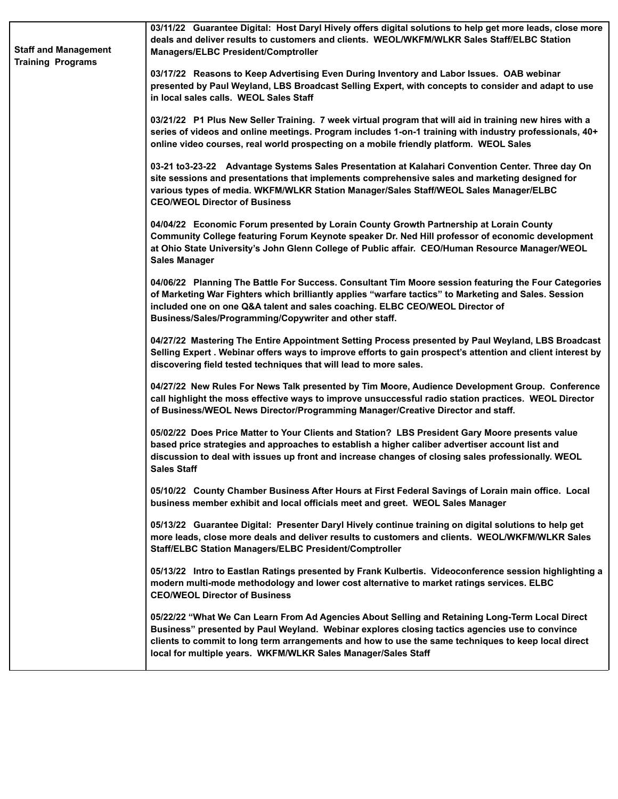| <b>Staff and Management</b><br><b>Training Programs</b> | 03/11/22 Guarantee Digital: Host Daryl Hively offers digital solutions to help get more leads, close more<br>deals and deliver results to customers and clients. WEOL/WKFM/WLKR Sales Staff/ELBC Station<br>Managers/ELBC President/Comptroller                                                                                                                           |
|---------------------------------------------------------|---------------------------------------------------------------------------------------------------------------------------------------------------------------------------------------------------------------------------------------------------------------------------------------------------------------------------------------------------------------------------|
|                                                         | 03/17/22 Reasons to Keep Advertising Even During Inventory and Labor Issues. OAB webinar<br>presented by Paul Weyland, LBS Broadcast Selling Expert, with concepts to consider and adapt to use<br>in local sales calls. WEOL Sales Staff                                                                                                                                 |
|                                                         | 03/21/22 P1 Plus New Seller Training. 7 week virtual program that will aid in training new hires with a<br>series of videos and online meetings. Program includes 1-on-1 training with industry professionals, 40+<br>online video courses, real world prospecting on a mobile friendly platform. WEOL Sales                                                              |
|                                                         | 03-21 to3-23-22 Advantage Systems Sales Presentation at Kalahari Convention Center. Three day On<br>site sessions and presentations that implements comprehensive sales and marketing designed for<br>various types of media. WKFM/WLKR Station Manager/Sales Staff/WEOL Sales Manager/ELBC<br><b>CEO/WEOL Director of Business</b>                                       |
|                                                         | 04/04/22 Economic Forum presented by Lorain County Growth Partnership at Lorain County<br>Community College featuring Forum Keynote speaker Dr. Ned Hill professor of economic development<br>at Ohio State University's John Glenn College of Public affair. CEO/Human Resource Manager/WEOL<br><b>Sales Manager</b>                                                     |
|                                                         | 04/06/22 Planning The Battle For Success. Consultant Tim Moore session featuring the Four Categories<br>of Marketing War Fighters which brilliantly applies "warfare tactics" to Marketing and Sales. Session<br>included one on one Q&A talent and sales coaching. ELBC CEO/WEOL Director of<br>Business/Sales/Programming/Copywriter and other staff.                   |
|                                                         | 04/27/22 Mastering The Entire Appointment Setting Process presented by Paul Weyland, LBS Broadcast<br>Selling Expert . Webinar offers ways to improve efforts to gain prospect's attention and client interest by<br>discovering field tested techniques that will lead to more sales.                                                                                    |
|                                                         | 04/27/22 New Rules For News Talk presented by Tim Moore, Audience Development Group. Conference<br>call highlight the moss effective ways to improve unsuccessful radio station practices. WEOL Director<br>of Business/WEOL News Director/Programming Manager/Creative Director and staff.                                                                               |
|                                                         | 05/02/22 Does Price Matter to Your Clients and Station? LBS President Gary Moore presents value<br>based price strategies and approaches to establish a higher caliber advertiser account list and<br>discussion to deal with issues up front and increase changes of closing sales professionally. WEOL<br><b>Sales Staff</b>                                            |
|                                                         | 05/10/22 County Chamber Business After Hours at First Federal Savings of Lorain main office. Local<br>business member exhibit and local officials meet and greet. WEOL Sales Manager                                                                                                                                                                                      |
|                                                         | 05/13/22 Guarantee Digital: Presenter Daryl Hively continue training on digital solutions to help get<br>more leads, close more deals and deliver results to customers and clients. WEOL/WKFM/WLKR Sales<br>Staff/ELBC Station Managers/ELBC President/Comptroller                                                                                                        |
|                                                         | 05/13/22 Intro to Eastlan Ratings presented by Frank Kulbertis. Videoconference session highlighting a<br>modern multi-mode methodology and lower cost alternative to market ratings services. ELBC<br><b>CEO/WEOL Director of Business</b>                                                                                                                               |
|                                                         | 05/22/22 "What We Can Learn From Ad Agencies About Selling and Retaining Long-Term Local Direct<br>Business" presented by Paul Weyland. Webinar explores closing tactics agencies use to convince<br>clients to commit to long term arrangements and how to use the same techniques to keep local direct<br>local for multiple years. WKFM/WLKR Sales Manager/Sales Staff |
|                                                         |                                                                                                                                                                                                                                                                                                                                                                           |